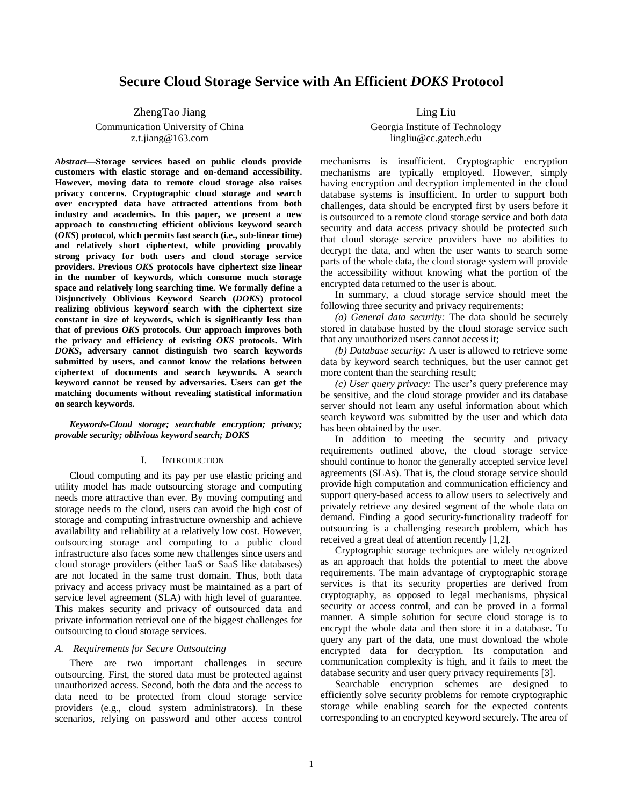# **Secure Cloud Storage Service with An Efficient** *DOKS* **Protocol**

ZhengTao Jiang Communication University of China z.t.jiang@163.com

*Abstract***—Storage services based on public clouds provide customers with elastic storage and on-demand accessibility. However, moving data to remote cloud storage also raises privacy concerns. Cryptographic cloud storage and search over encrypted data have attracted attentions from both industry and academics. In this paper, we present a new approach to constructing efficient oblivious keyword search (***OKS***) protocol, which permits fast search (i.e., sub-linear time) and relatively short ciphertext, while providing provably strong privacy for both users and cloud storage service providers. Previous** *OKS* **protocols have ciphertext size linear in the number of keywords, which consume much storage space and relatively long searching time. We formally define a Disjunctively Oblivious Keyword Search (***DOKS***) protocol realizing oblivious keyword search with the ciphertext size constant in size of keywords, which is significantly less than that of previous** *OKS* **protocols. Our approach improves both the privacy and efficiency of existing** *OKS* **protocols. With**  *DOKS***, adversary cannot distinguish two search keywords submitted by users, and cannot know the relations between ciphertext of documents and search keywords. A search keyword cannot be reused by adversaries. Users can get the matching documents without revealing statistical information on search keywords.**

*Keywords-Cloud storage; searchable encryption; privacy; provable security; oblivious keyword search; DOKS*

## I. INTRODUCTION

Cloud computing and its pay per use elastic pricing and utility model has made outsourcing storage and computing needs more attractive than ever. By moving computing and storage needs to the cloud, users can avoid the high cost of storage and computing infrastructure ownership and achieve availability and reliability at a relatively low cost. However, outsourcing storage and computing to a public cloud infrastructure also faces some new challenges since users and cloud storage providers (either IaaS or SaaS like databases) are not located in the same trust domain. Thus, both data privacy and access privacy must be maintained as a part of service level agreement (SLA) with high level of guarantee. This makes security and privacy of outsourced data and private information retrieval one of the biggest challenges for outsourcing to cloud storage services.

## *A. Requirements for Secure Outsoutcing*

There are two important challenges in secure outsourcing. First, the stored data must be protected against unauthorized access. Second, both the data and the access to data need to be protected from cloud storage service providers (e.g., cloud system administrators). In these scenarios, relying on password and other access control

Ling Liu Georgia Institute of Technology lingliu@cc.gatech.edu

mechanisms is insufficient. Cryptographic encryption mechanisms are typically employed. However, simply having encryption and decryption implemented in the cloud database systems is insufficient. In order to support both challenges, data should be encrypted first by users before it is outsourced to a remote cloud storage service and both data security and data access privacy should be protected such that cloud storage service providers have no abilities to decrypt the data, and when the user wants to search some parts of the whole data, the cloud storage system will provide the accessibility without knowing what the portion of the encrypted data returned to the user is about.

In summary, a cloud storage service should meet the following three security and privacy requirements:

*(a) General data security:* The data should be securely stored in database hosted by the cloud storage service such that any unauthorized users cannot access it;

*(b) Database security:* A user is allowed to retrieve some data by keyword search techniques, but the user cannot get more content than the searching result;

*(c) User query privacy:* The user's query preference may be sensitive, and the cloud storage provider and its database server should not learn any useful information about which search keyword was submitted by the user and which data has been obtained by the user.

In addition to meeting the security and privacy requirements outlined above, the cloud storage service should continue to honor the generally accepted service level agreements (SLAs). That is, the cloud storage service should provide high computation and communication efficiency and support query-based access to allow users to selectively and privately retrieve any desired segment of the whole data on demand. Finding a good security-functionality tradeoff for outsourcing is a challenging research problem, which has received a great deal of attention recently [1,2].

Cryptographic storage techniques are widely recognized as an approach that holds the potential to meet the above requirements. The main advantage of cryptographic storage services is that its security properties are derived from cryptography, as opposed to legal mechanisms, physical security or access control, and can be proved in a formal manner. A simple solution for secure cloud storage is to encrypt the whole data and then store it in a database. To query any part of the data, one must download the whole encrypted data for decryption. Its computation and communication complexity is high, and it fails to meet the database security and user query privacy requirements [3].

Searchable encryption schemes are designed to efficiently solve security problems for remote cryptographic storage while enabling search for the expected contents corresponding to an encrypted keyword securely. The area of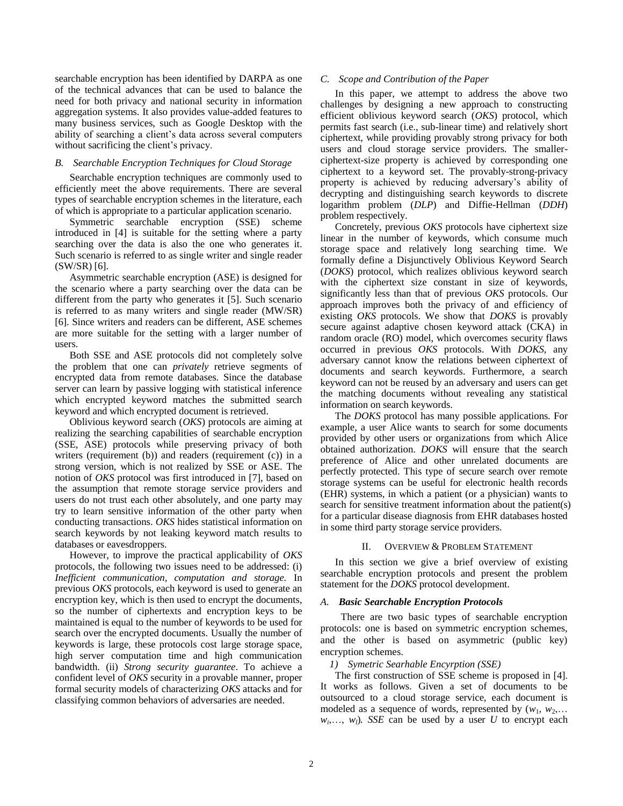searchable encryption has been identified by DARPA as one of the technical advances that can be used to balance the need for both privacy and national security in information aggregation systems. It also provides value-added features to many business services, such as Google Desktop with the ability of searching a client's data across several computers without sacrificing the client's privacy.

## *B. Searchable Encryption Techniques for Cloud Storage*

Searchable encryption techniques are commonly used to efficiently meet the above requirements. There are several types of searchable encryption schemes in the literature, each of which is appropriate to a particular application scenario.

Symmetric searchable encryption (SSE) scheme introduced in [4] is suitable for the setting where a party searching over the data is also the one who generates it. Such scenario is referred to as single writer and single reader (SW/SR) [6].

Asymmetric searchable encryption (ASE) is designed for the scenario where a party searching over the data can be different from the party who generates it [5]. Such scenario is referred to as many writers and single reader (MW/SR) [6]. Since writers and readers can be different, ASE schemes are more suitable for the setting with a larger number of users.

Both SSE and ASE protocols did not completely solve the problem that one can *privately* retrieve segments of encrypted data from remote databases. Since the database server can learn by passive logging with statistical inference which encrypted keyword matches the submitted search keyword and which encrypted document is retrieved.

Oblivious keyword search (*OKS*) protocols are aiming at realizing the searching capabilities of searchable encryption (SSE, ASE) protocols while preserving privacy of both writers (requirement (b)) and readers (requirement (c)) in a strong version, which is not realized by SSE or ASE. The notion of *OKS* protocol was first introduced in [7], based on the assumption that remote storage service providers and users do not trust each other absolutely, and one party may try to learn sensitive information of the other party when conducting transactions. *OKS* hides statistical information on search keywords by not leaking keyword match results to databases or eavesdroppers.

However, to improve the practical applicability of *OKS* protocols, the following two issues need to be addressed: (i) *Inefficient communication, computation and storage.* In previous *OKS* protocols, each keyword is used to generate an encryption key, which is then used to encrypt the documents, so the number of ciphertexts and encryption keys to be maintained is equal to the number of keywords to be used for search over the encrypted documents. Usually the number of keywords is large, these protocols cost large storage space, high server computation time and high communication bandwidth. (ii) *Strong security guarantee*. To achieve a confident level of *OKS* security in a provable manner, proper formal security models of characterizing *OKS* attacks and for classifying common behaviors of adversaries are needed.

## *C. Scope and Contribution of the Paper*

In this paper, we attempt to address the above two challenges by designing a new approach to constructing efficient oblivious keyword search (*OKS*) protocol, which permits fast search (i.e., sub-linear time) and relatively short ciphertext, while providing provably strong privacy for both users and cloud storage service providers. The smallerciphertext-size property is achieved by corresponding one ciphertext to a keyword set. The provably-strong-privacy property is achieved by reducing adversary's ability of decrypting and distinguishing search keywords to discrete logarithm problem (*DLP*) and Diffie-Hellman (*DDH*) problem respectively.

Concretely, previous *OKS* protocols have ciphertext size linear in the number of keywords, which consume much storage space and relatively long searching time. We formally define a Disjunctively Oblivious Keyword Search (*DOKS*) protocol, which realizes oblivious keyword search with the ciphertext size constant in size of keywords, significantly less than that of previous *OKS* protocols. Our approach improves both the privacy of and efficiency of existing *OKS* protocols. We show that *DOKS* is provably secure against adaptive chosen keyword attack (CKA) in random oracle (RO) model, which overcomes security flaws occurred in previous *OKS* protocols. With *DOKS*, any adversary cannot know the relations between ciphertext of documents and search keywords. Furthermore, a search keyword can not be reused by an adversary and users can get the matching documents without revealing any statistical information on search keywords.

The *DOKS* protocol has many possible applications. For example, a user Alice wants to search for some documents provided by other users or organizations from which Alice obtained authorization. *DOKS* will ensure that the search preference of Alice and other unrelated documents are perfectly protected. This type of secure search over remote storage systems can be useful for electronic health records (EHR) systems, in which a patient (or a physician) wants to search for sensitive treatment information about the patient(s) for a particular disease diagnosis from EHR databases hosted in some third party storage service providers.

## II. OVERVIEW & PROBLEM STATEMENT

In this section we give a brief overview of existing searchable encryption protocols and present the problem statement for the *DOKS* protocol development.

## *A. Basic Searchable Encryption Protocols*

There are two basic types of searchable encryption protocols: one is based on symmetric encryption schemes, and the other is based on asymmetric (public key) encryption schemes.

## *1) Symetric Searhable Encyrption (SSE)*

The first construction of SSE scheme is proposed in [4]. It works as follows. Given a set of documents to be outsourced to a cloud storage service, each document is modeled as a sequence of words, represented by  $(w_1, w_2,...)$  $w_i, \ldots, w_l$ ). SSE can be used by a user *U* to encrypt each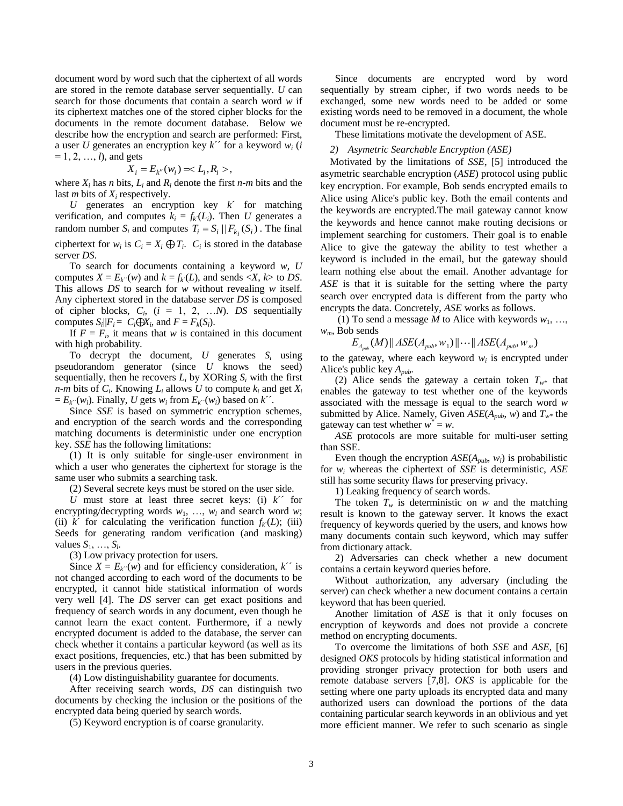document word by word such that the ciphertext of all words are stored in the remote database server sequentially. *U* can search for those documents that contain a search word *w* if its ciphertext matches one of the stored cipher blocks for the documents in the remote document database. Below we describe how the encryption and search are performed: First, a user *U* generates an encryption key *k*´´ for a keyword *w<sup>i</sup>* (*i* = 1, 2, …, *l*), and gets

$$
X_i = E_{k''}(w_i) \Longrightarrow L_i, R_i >
$$

where  $X_i$  has *n* bits,  $L_i$  and  $R_i$  denote the first *n*-*m* bits and the last *m* bits of *X<sup>i</sup>* respectively.

*U* generates an encryption key *k*´ for matching verification, and computes  $k_i = f_k(L_i)$ . Then *U* generates a random number  $S_i$  and computes  $T_i = S_i || F_{k_i}(S_i)$ . The final ciphertext for  $w_i$  is  $C_i = X_i \oplus T_i$ .  $C_i$  is stored in the database server *DS*.

To search for documents containing a keyword *w*, *U* computes  $X = E_{k'}(w)$  and  $k = f_k(L)$ , and sends  $\langle X, k \rangle$  to DS. This allows *DS* to search for *w* without revealing *w* itself. Any ciphertext stored in the database server *DS* is composed of cipher blocks,  $C_i$ ,  $(i = 1, 2, ...N)$ . *DS* sequentially computes  $S_i$   $||F_i = C_i \oplus X_i$ , and  $F = F_k(S_i)$ .

If  $F = F_i$ , it means that *w* is contained in this document with high probability.

To decrypt the document,  $U$  generates  $S_i$  using pseudorandom generator (since *U* knows the seed) sequentially, then he recovers  $L_i$  by XORing  $S_i$  with the first *n*-*m* bits of  $C_i$ . Knowing  $L_i$  allows  $U$  to compute  $k_i$  and get  $X_i$  $E_k(x, w_i)$ . Finally, *U* gets  $w_i$  from  $E_k(x_i)$  based on  $k'$ .

Since *SSE* is based on symmetric encryption schemes, and encryption of the search words and the corresponding matching documents is deterministic under one encryption key. *SSE* has the following limitations:

(1) It is only suitable for single-user environment in which a user who generates the ciphertext for storage is the same user who submits a searching task.

(2) Several secrete keys must be stored on the user side.

*U* must store at least three secret keys: (i)  $k^{\prime\prime}$  for encrypting/decrypting words  $w_1$ , ...,  $w_l$  and search word *w*; (ii)  $k'$  for calculating the verification function  $f_k(L)$ ; (iii) Seeds for generating random verification (and masking) values  $S_1, \ldots, S_l$ .

(3) Low privacy protection for users.

Since  $X = E_{k'}(w)$  and for efficiency consideration,  $k''$  is not changed according to each word of the documents to be encrypted, it cannot hide statistical information of words very well [4]. The *DS* server can get exact positions and frequency of search words in any document, even though he cannot learn the exact content. Furthermore, if a newly encrypted document is added to the database, the server can check whether it contains a particular keyword (as well as its exact positions, frequencies, etc.) that has been submitted by users in the previous queries.

(4) Low distinguishability guarantee for documents.

After receiving search words, *DS* can distinguish two documents by checking the inclusion or the positions of the encrypted data being queried by search words.

(5) Keyword encryption is of coarse granularity.

Since documents are encrypted word by word sequentially by stream cipher, if two words needs to be exchanged, some new words need to be added or some existing words need to be removed in a document, the whole document must be re-encrypted.

These limitations motivate the development of ASE.

## *2) Asymetric Searchable Encryption (ASE)*

Motivated by the limitations of *SSE*, [5] introduced the asymetric searchable encryption (*ASE*) protocol using public key encryption. For example, Bob sends encrypted emails to Alice using Alice's public key. Both the email contents and the keywords are encrypted.The mail gateway cannot know the keywords and hence cannot make routing decisions or implement searching for customers. Their goal is to enable Alice to give the gateway the ability to test whether a keyword is included in the email, but the gateway should learn nothing else about the email. Another advantage for *ASE* is that it is suitable for the setting where the party search over encrypted data is different from the party who encrypts the data. Concretely, *ASE* works as follows.

(1) To send a message *M* to Alice with keywords  $w_1, \ldots,$ *wm*, Bob sends

$$
E_{A_{pub}}(M) \parallel ASE(A_{pub}, w_1) \parallel \cdots \parallel ASE(A_{pub}, w_m)
$$

to the gateway, where each keyword  $w_i$  is encrypted under Alice's public key *Apub*.

(2) Alice sends the gateway a certain token  $T_{w^*}$  that enables the gateway to test whether one of the keywords associated with the message is equal to the search word *w*  submitted by Alice. Namely, Given  $ASE(A_{pub}, w)$  and  $T_w^*$  the gateway can test whether  $w^* = w$ .

*ASE* protocols are more suitable for multi-user setting than SSE.

Even though the encryption  $ASE(A_{pub}, w_i)$  is probabilistic for *w<sup>i</sup>* whereas the ciphertext of *SSE* is deterministic, *ASE* still has some security flaws for preserving privacy.

1) Leaking frequency of search words.

The token  $T_w$  is deterministic on  $w$  and the matching result is known to the gateway server. It knows the exact frequency of keywords queried by the users, and knows how many documents contain such keyword, which may suffer from dictionary attack.

2) Adversaries can check whether a new document contains a certain keyword queries before.

Without authorization, any adversary (including the server) can check whether a new document contains a certain keyword that has been queried.

Another limitation of *ASE* is that it only focuses on encryption of keywords and does not provide a concrete method on encrypting documents.

To overcome the limitations of both *SSE* and *ASE*, [6] designed *OKS* protocols by hiding statistical information and providing stronger privacy protection for both users and remote database servers [7,8]. *OKS* is applicable for the setting where one party uploads its encrypted data and many authorized users can download the portions of the data containing particular search keywords in an oblivious and yet more efficient manner. We refer to such scenario as single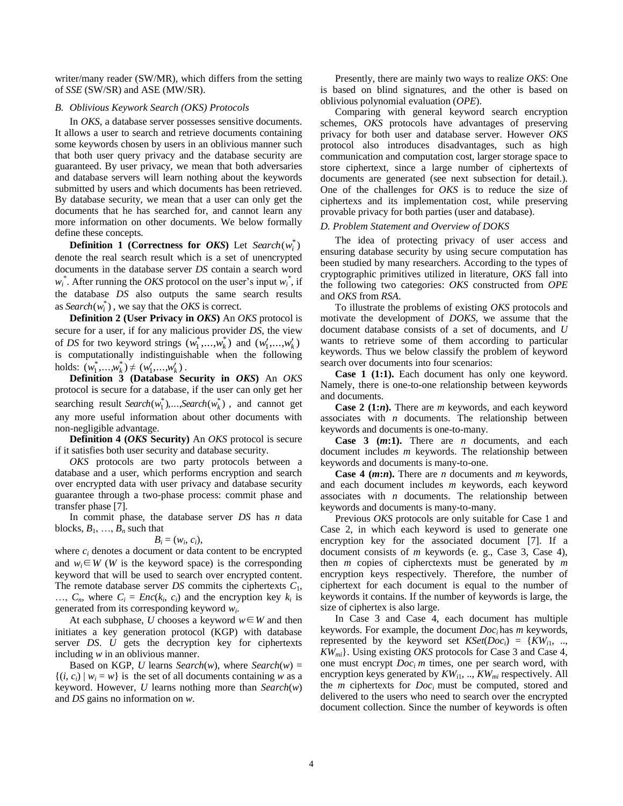writer/many reader (SW/MR), which differs from the setting of *SSE* (SW/SR) and ASE (MW/SR).

## *B. Oblivious Keywork Search (OKS) Protocols*

In *OKS*, a database server possesses sensitive documents. It allows a user to search and retrieve documents containing some keywords chosen by users in an oblivious manner such that both user query privacy and the database security are guaranteed. By user privacy, we mean that both adversaries and database servers will learn nothing about the keywords submitted by users and which documents has been retrieved. By database security, we mean that a user can only get the documents that he has searched for, and cannot learn any more information on other documents. We below formally define these concepts.

**Definition 1** (Correctness for *OKS*) Let  $Search(w_i^*)$ denote the real search result which is a set of unencrypted documents in the database server *DS* contain a search word  $w_i^*$ . After running the *OKS* protocol on the user's input  $w_i^*$ , if the database *DS* also outputs the same search results as  $Search(w_i^*)$ , we say that the *OKS* is correct.

**Definition 2 (User Privacy in** *OKS***)** An *OKS* protocol is secure for a user, if for any malicious provider *DS*, the view of *DS* for two keyword strings  $(w_1^*,...,w_k^*)$  and  $(w_1',...,w_k')$ is computationally indistinguishable when the following holds:  $(w_1^*,...,w_k^*) \neq (w_1',...,w_k')$ .

**Definition 3 (Database Security in** *OKS***)** An *OKS* protocol is secure for a database, if the user can only get her searching result  $Search(w_1^*, \ldots, Search(w_k^*)$ , and cannot get any more useful information about other documents with non-negligible advantage.

**Definition 4 (***OKS* **Security)** An *OKS* protocol is secure if it satisfies both user security and database security.

*OKS* protocols are two party protocols between a database and a user, which performs encryption and search over encrypted data with user privacy and database security guarantee through a two-phase process: commit phase and transfer phase [7].

In commit phase, the database server *DS* has *n* data blocks,  $B_1, \ldots, B_n$  such that

$$
B_i=(w_i, c_i),
$$

where  $c_i$  denotes a document or data content to be encrypted and  $w_i \in W$  (*W* is the keyword space) is the corresponding keyword that will be used to search over encrypted content. The remote database server *DS* commits the ciphertexts *C*1, ...,  $C_n$ , where  $C_i = Enc(k_i, c_i)$  and the encryption key  $k_i$  is generated from its corresponding keyword *w<sup>i</sup>* .

At each subphase, *U* chooses a keyword  $w \in W$  and then initiates a key generation protocol (KGP) with database server *DS*. *U* gets the decryption key for ciphertexts including *w* in an oblivious manner.

Based on KGP, *U* learns *Search*(*w*), where *Search*(*w*) =  $\{(i, c_i) | w_i = w\}$  is the set of all documents containing *w* as a keyword. However, *U* learns nothing more than *Search*(*w*) and *DS* gains no information on *w*.

Presently, there are mainly two ways to realize *OKS*: One is based on blind signatures, and the other is based on oblivious polynomial evaluation (*OPE*).

Comparing with general keyword search encryption schemes, *OKS* protocols have advantages of preserving privacy for both user and database server. However *OKS* protocol also introduces disadvantages, such as high communication and computation cost, larger storage space to store ciphertext, since a large number of ciphertexts of documents are generated (see next subsection for detail.). One of the challenges for *OKS* is to reduce the size of ciphertexs and its implementation cost, while preserving provable privacy for both parties (user and database).

#### *D. Problem Statement and Overview of DOKS*

The idea of protecting privacy of user access and ensuring database security by using secure computation has been studied by many researchers. According to the types of cryptographic primitives utilized in literature, *OKS* fall into the following two categories: *OKS* constructed from *OPE* and *OKS* from *RSA*.

To illustrate the problems of existing *OKS* protocols and motivate the development of *DOKS*, we assume that the document database consists of a set of documents, and *U* wants to retrieve some of them according to particular keywords. Thus we below classify the problem of keyword search over documents into four scenarios:

**Case 1 (1:1).** Each document has only one keyword. Namely, there is one-to-one relationship between keywords and documents.

**Case 2 (1:***n***).** There are *m* keywords, and each keyword associates with *n* documents. The relationship between keywords and documents is one-to-many.

**Case 3 (***m***:1).** There are *n* documents, and each document includes *m* keywords. The relationship between keywords and documents is many-to-one.

**Case 4 (***m***:***n***).** There are *n* documents and *m* keywords, and each document includes *m* keywords, each keyword associates with *n* documents. The relationship between keywords and documents is many-to-many.

Previous *OKS* protocols are only suitable for Case 1 and Case 2, in which each keyword is used to generate one encryption key for the associated document [7]. If a document consists of *m* keywords (e. g., Case 3, Case 4), then *m* copies of cipherctexts must be generated by *m* encryption keys respectively. Therefore, the number of ciphertext for each document is equal to the number of keywords it contains. If the number of keywords is large, the size of ciphertex is also large.

In Case 3 and Case 4, each document has multiple keywords. For example, the document *Doci* has *m* keywords, represented by the keyword set  $KSet(Doc_i) = \{KW_{i1}, \ldots,$ *KWmi*}. Using existing *OKS* protocols for Case 3 and Case 4, one must encrypt  $Doc<sub>i</sub>$  *m* times, one per search word, with encryption keys generated by *KWi*1, .., *KWmi* respectively. All the *m* ciphertexts for *Doci* must be computed, stored and delivered to the users who need to search over the encrypted document collection. Since the number of keywords is often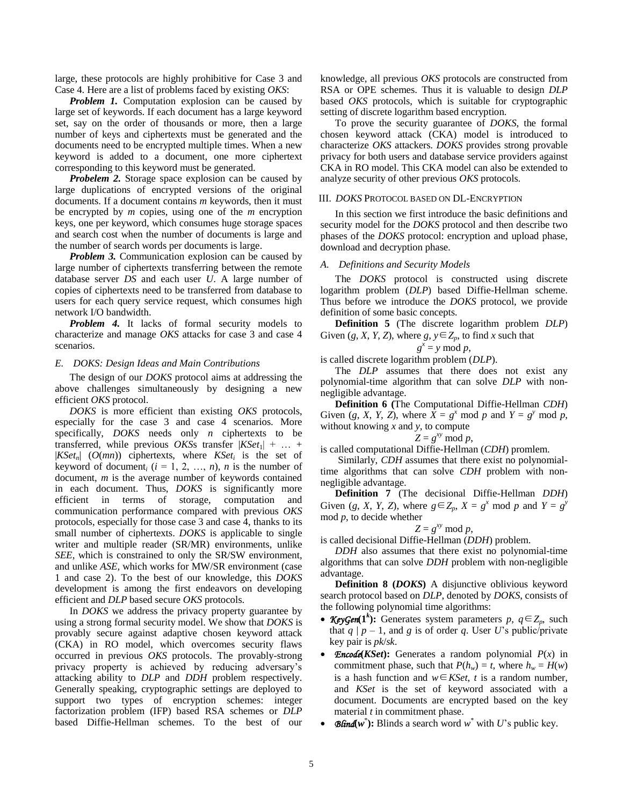large, these protocols are highly prohibitive for Case 3 and Case 4. Here are a list of problems faced by existing *OKS*:

*Problem 1.* Computation explosion can be caused by large set of keywords. If each document has a large keyword set, say on the order of thousands or more, then a large number of keys and ciphertexts must be generated and the documents need to be encrypted multiple times. When a new keyword is added to a document, one more ciphertext corresponding to this keyword must be generated.

*Probelem 2.* Storage space explosion can be caused by large duplications of encrypted versions of the original documents. If a document contains *m* keywords, then it must be encrypted by *m* copies, using one of the *m* encryption keys, one per keyword, which consumes huge storage spaces and search cost when the number of documents is large and the number of search words per documents is large.

*Problem 3.* Communication explosion can be caused by large number of ciphertexts transferring between the remote database server *DS* and each user *U*. A large number of copies of ciphertexts need to be transferred from database to users for each query service request, which consumes high network I/O bandwidth.

*Problem 4.* It lacks of formal security models to characterize and manage *OKS* attacks for case 3 and case 4 scenarios.

## *E. DOKS: Design Ideas and Main Contributions*

The design of our *DOKS* protocol aims at addressing the above challenges simultaneously by designing a new efficient *OKS* protocol.

*DOKS* is more efficient than existing *OKS* protocols, especially for the case 3 and case 4 scenarios. More specifically, *DOKS* needs only *n* ciphertexts to be transferred, while previous *OKSs* transfer  $|KSet_1| + ...$  $|KSet_n|$  (*O*(*mn*)) ciphertexts, where  $KSet_i$  is the set of keyword of document<sub>i</sub>  $(i = 1, 2, ..., n)$ , *n* is the number of document, *m* is the average number of keywords contained in each document. Thus, *DOKS* is significantly more efficient in terms of storage, computation and communication performance compared with previous *OKS* protocols, especially for those case 3 and case 4, thanks to its small number of ciphertexts. *DOKS* is applicable to single writer and multiple reader (SR/MR) environments, unlike *SEE*, which is constrained to only the SR/SW environment, and unlike *ASE,* which works for MW/SR environment (case 1 and case 2). To the best of our knowledge, this *DOKS* development is among the first endeavors on developing efficient and *DLP* based secure *OKS* protocols.

In *DOKS* we address the privacy property guarantee by using a strong formal security model. We show that *DOKS* is provably secure against adaptive chosen keyword attack (CKA) in RO model, which overcomes security flaws occurred in previous *OKS* protocols. The provably-strong privacy property is achieved by reducing adversary's attacking ability to *DLP* and *DDH* problem respectively. Generally speaking, cryptographic settings are deployed to support two types of encryption schemes: integer factorization problem (IFP) based RSA schemes or *DLP* based Diffie-Hellman schemes. To the best of our knowledge, all previous *OKS* protocols are constructed from RSA or OPE schemes. Thus it is valuable to design *DLP* based *OKS* protocols, which is suitable for cryptographic setting of discrete logarithm based encryption*.*

To prove the security guarantee of *DOKS*, the formal chosen keyword attack (CKA) model is introduced to characterize *OKS* attackers. *DOKS* provides strong provable privacy for both users and database service providers against CKA in RO model. This CKA model can also be extended to analyze security of other previous *OKS* protocols.

#### III. *DOKS* PROTOCOL BASED ON DL-ENCRYPTION

In this section we first introduce the basic definitions and security model for the *DOKS* protocol and then describe two phases of the *DOKS* protocol: encryption and upload phase, download and decryption phase.

#### *A. Definitions and Security Models*

The *DOKS* protocol is constructed using discrete logarithm problem (*DLP*) based Diffie-Hellman scheme. Thus before we introduce the *DOKS* protocol, we provide definition of some basic concepts.

**Definition 5** (The discrete logarithm problem *DLP*) Given  $(g, X, Y, Z)$ , where  $g, y \in Z_p$ , to find *x* such that

$$
g^x = y \bmod p,
$$

is called discrete logarithm problem (*DLP*).

The *DLP* assumes that there does not exist any polynomial-time algorithm that can solve *DLP* with nonnegligible advantage.

**Definition 6 (**The Computational Diffie-Hellman *CDH*) Given  $(g, X, Y, Z)$ , where  $\overline{X} = g^x \mod p$  and  $Y = g^y \mod p$ , without knowing *x* and *y*, to compute

$$
Z = g^{xy} \bmod p,
$$

is called computational Diffie-Hellman (*CDH*) promlem.

Similarly, *CDH* assumes that there exist no polynomialtime algorithms that can solve *CDH* problem with nonnegligible advantage.

**Definition 7** (The decisional Diffie-Hellman *DDH*) Given (*g*, *X*, *Y*, *Z*), where  $g \in Z_p$ ,  $X = g^x \mod p$  and  $Y = g^y$ mod *p*, to decide whether

$$
Z = g^{xy} \bmod p,
$$

is called decisional Diffie-Hellman (*DDH*) problem.

*DDH* also assumes that there exist no polynomial-time algorithms that can solve *DDH* problem with non-negligible advantage.

**Definition 8 (***DOKS***)** A disjunctive oblivious keyword search protocol based on *DLP*, denoted by *DOKS*, consists of the following polynomial time algorithms:

- *KeyGen*(1<sup>*k*</sup>): Generates system parameters *p*,  $q \in Z_p$ , such that  $q \mid p-1$ , and g is of order q. User U's public/private key pair is *pk*/*sk*.
- *Encode***(***KSet***):** Generates a random polynomial *P*(*x*) in commitment phase, such that  $P(h_w) = t$ , where  $h_w = H(w)$ is a hash function and *w*∈*KSet*, *t* is a random number, and *KSet* is the set of keyword associated with a document. Documents are encrypted based on the key material *t* in commitment phase.
- **• Blind**( $w^*$ ): Blinds a search word  $w^*$  with *U*'s public key.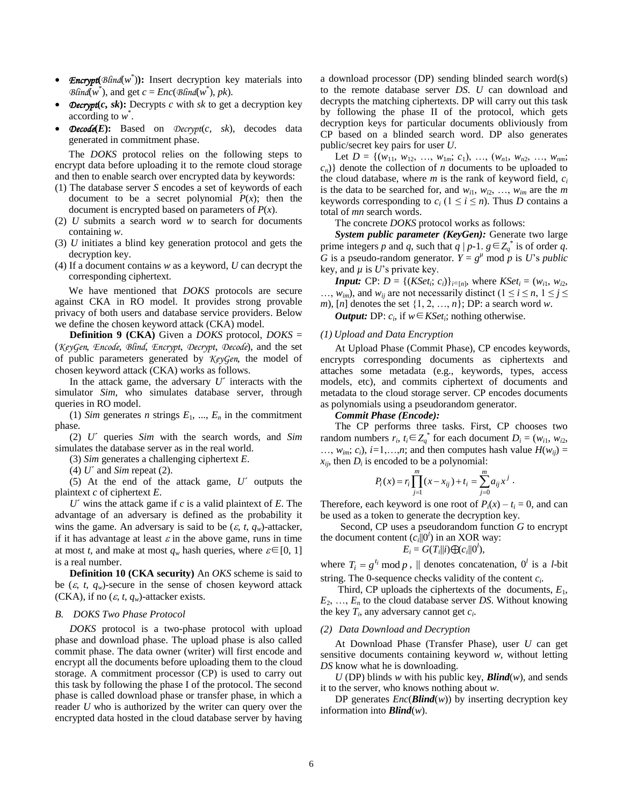- *Encrypt***(***Blind*(*w* \* )**):** Insert decryption key materials into *Blind*( $w^*$ ), and get  $c = Enc(\text{Bfind}(w^*), pk)$ .
- **Decryptic, sk**): Decrypts c with sk to get a decryption key according to  $w^*$ .
- *Decode***(***E***):** Based on *Decrypt*(*c*, *sk*), decodes data generated in commitment phase.

The *DOKS* protocol relies on the following steps to encrypt data before uploading it to the remote cloud storage and then to enable search over encrypted data by keywords:

- (1) The database server *S* encodes a set of keywords of each document to be a secret polynomial  $P(x)$ ; then the document is encrypted based on parameters of *P*(*x*).
- (2) *U* submits a search word *w* to search for documents containing *w*.
- (3) *U* initiates a blind key generation protocol and gets the decryption key.
- (4) If a document contains *w* as a keyword, *U* can decrypt the corresponding ciphertext.

We have mentioned that *DOKS* protocols are secure against CKA in RO model. It provides strong provable privacy of both users and database service providers. Below we define the chosen keyword attack (CKA) model.

**Definition 9 (CKA)** Given a *DOKS* protocol, *DOKS* = (*KeyGen*, *Encode*, *Blind*, *Encrypt*, *Decrypt*, *Decode*), and the set of public parameters generated by *KeyGen*, the model of chosen keyword attack (CKA) works as follows.

In the attack game, the adversary  $U'$  interacts with the simulator *Sim*, who simulates database server, through queries in RO model.

(1) *Sim* generates *n* strings  $E_1$ , ...,  $E_n$  in the commitment phase.

(2) *U*´ queries *Sim* with the search words, and *Sim* simulates the database server as in the real world.

(3) *Sim* generates a challenging ciphertext *E*.

(4) *U*´ and *Sim* repeat (2).

(5) At the end of the attack game, *U*´ outputs the plaintext *c* of ciphertext *E*.

 $U'$  wins the attack game if  $c$  is a valid plaintext of  $E$ . The advantage of an adversary is defined as the probability it wins the game. An adversary is said to be  $(\varepsilon, t, q_w)$ -attacker, if it has advantage at least  $\varepsilon$  in the above game, runs in time at most *t*, and make at most  $q_w$  hash queries, where  $\varepsilon \in [0, 1]$ is a real number.

**Definition 10 (CKA security)** An *OKS* scheme is said to be  $(\varepsilon, t, q_w)$ -secure in the sense of chosen keyword attack (CKA), if no  $(\varepsilon, t, q_w)$ -attacker exists.

## *B. DOKS Two Phase Protocol*

*DOKS* protocol is a two-phase protocol with upload phase and download phase. The upload phase is also called commit phase. The data owner (writer) will first encode and encrypt all the documents before uploading them to the cloud storage. A commitment processor (CP) is used to carry out this task by following the phase I of the protocol. The second phase is called download phase or transfer phase, in which a reader *U* who is authorized by the writer can query over the encrypted data hosted in the cloud database server by having a download processor (DP) sending blinded search word(s) to the remote database server *DS*. *U* can download and decrypts the matching ciphertexts. DP will carry out this task by following the phase II of the protocol, which gets decryption keys for particular documents obliviously from CP based on a blinded search word. DP also generates public/secret key pairs for user *U*.

Let  $D = \{ (w_{11}, w_{12}, ..., w_{1m}; c_1), ..., (w_{n1}, w_{n2}, ..., w_{nm};$  $c_n$ } denote the collection of *n* documents to be uploaded to the cloud database, where *m* is the rank of keyword field, *c<sup>i</sup>* is the data to be searched for, and  $w_{i1}$ ,  $w_{i2}$ , ...,  $w_{im}$  are the *m* keywords corresponding to  $c_i$  ( $1 \le i \le n$ ). Thus *D* contains a total of *mn* search words.

The concrete *DOKS* protocol works as follows:

*System public parameter (KeyGen):* Generate two large prime integers *p* and *q*, such that  $q | p-1$ .  $q \in Z_q^*$  is of order *q*. *G* is a pseudo-random generator.  $Y = g^{\mu}$  mod *p* is *U*'s *public* key, and  $\mu$  is *U*'s private key.

*Input:* CP:  $D = \{ (KSet_i; c_i) \}_{i \in [n]},$  where  $KSet_i = (w_{i1}, w_{i2},$ …,  $w_{im}$ ), and  $w_{ij}$  are not necessarily distinct  $(1 \le i \le n, 1 \le j \le n)$ *m*), [*n*] denotes the set {1, 2, …, *n*}; DP: a search word *w*.

*Output:* DP:  $c_i$ , if  $w \in KSet_i$ ; nothing otherwise.

## *(1) Upload and Data Encryption*

At Upload Phase (Commit Phase), CP encodes keywords, encrypts corresponding documents as ciphertexts and attaches some metadata (e.g., keywords, types, access models, etc), and commits ciphertext of documents and metadata to the cloud storage server. CP encodes documents as polynomials using a pseudorandom generator.

## *Commit Phase (Encode):*

The CP performs three tasks. First, CP chooses two random numbers  $r_i$ ,  $t_i \in Z_q^*$  for each document  $D_i = (w_{i1}, w_{i2},$  $..., w_{im}$ ;  $c_i$ ,  $i=1,...,n$ ; and then computes hash value  $H(w_{ii}) =$  $x_{ij}$ , then  $D_i$  is encoded to be a polynomial:

$$
P_i(x) = r_i \prod_{j=1}^m (x - x_{ij}) + t_i = \sum_{j=0}^m a_{ij} x^j.
$$

Therefore, each keyword is one root of  $P_i(x) - t_i = 0$ , and can be used as a token to generate the decryption key.

 Second, CP uses a pseudorandom function *G* to encrypt the document content  $(c_i||0^l)$  in an XOR way:

$$
E_i = G(T_i || i) \bigoplus c_i || 0^i),
$$

where  $T_i = g^{t_i} \mod p$ , || denotes concatenation,  $0^l$  is a *l*-bit string. The 0-sequence checks validity of the content *c<sup>i</sup>* .

 Third, CP uploads the ciphertexts of the documents, *E*1,  $E_2, \ldots, E_n$  to the cloud database server *DS*. Without knowing the key  $T_i$ , any adversary cannot get  $c_i$ .

## *(2) Data Download and Decryption*

At Download Phase (Transfer Phase), user *U* can get sensitive documents containing keyword *w*, without letting *DS* know what he is downloading.

 $U$  (DP) blinds *w* with his public key, *Blind*(*w*), and sends it to the server, who knows nothing about *w*.

DP generates *Enc*(*Blind*(*w*)) by inserting decryption key information into *Blind*(*w*).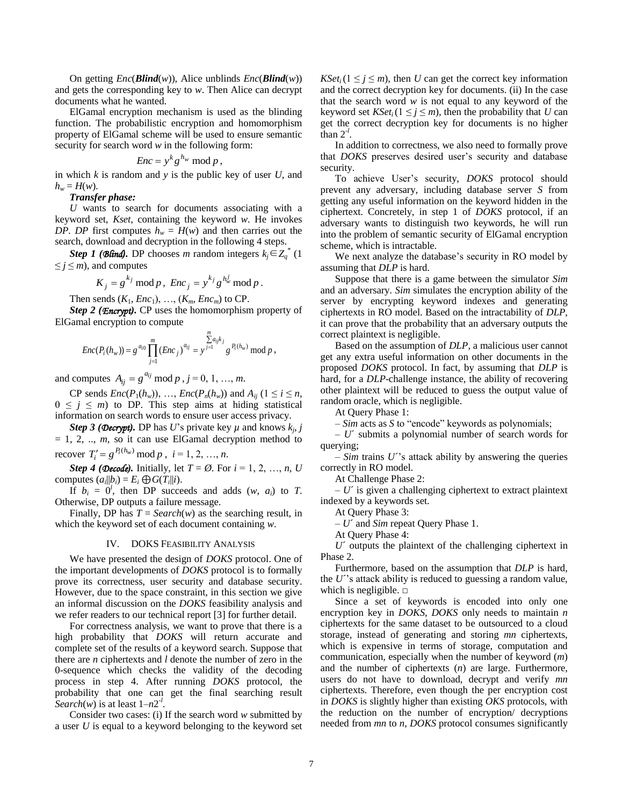On getting *Enc*(*Blind*(*w*)), Alice unblinds *Enc*(*Blind*(*w*)) and gets the corresponding key to *w*. Then Alice can decrypt documents what he wanted.

ElGamal encryption mechanism is used as the blinding function. The probabilistic encryption and homomorphism property of ElGamal scheme will be used to ensure semantic security for search word *w* in the following form:

$$
Enc = y^k g^{h_w} \bmod p,
$$

in which *k* is random and *y* is the public key of user *U*, and  $h_w = H(w)$ .

#### *Transfer phase:*

*U* wants to search for documents associating with a keyword set, *Kset*, containing the keyword *w*. He invokes *DP. DP* first computes  $h_w = H(w)$  and then carries out the search, download and decryption in the following 4 steps.

*Step 1 (Blind).* DP chooses *m* random integers  $k_j \in Z_q^*$  (1)  $\leq j \leq m$ , and computes

$$
K_j = g^{k_j} \bmod p, \ Enc_j = y^{k_j} g^{h_w^j} \bmod p.
$$

Then sends  $(K_1, Enc_1), \ldots, (K_m, Enc_m)$  to CP.

*Step 2 (Encrypt).* CP uses the homomorphism property of ElGamal encryption to compute

$$
Enc(P_i(h_w)) = g^{a_{i0}} \prod_{j=1}^{m} (Enc_j)^{a_{ij}} = y^{j=1} g^{P_i(h_w)} \mod p
$$

,

and computes  $A_{ij} = g^{a_{ij}} \mod p$ ,  $j = 0, 1, ..., m$ .

CP sends  $Enc(P_1(h_w))$ , ...,  $Enc(P_n(h_w))$  and  $A_{ij}$  (1 ≤ *i* ≤ *n*,  $0 \leq j \leq m$ ) to DP. This step aims at hiding statistical information on search words to ensure user access privacy.

*Step 3 (Decrypt).* DP has *U*'s private key  $\mu$  and knows  $k_j$ , *j*  $= 1, 2, ..., m$ , so it can use ElGamal decryption method to recover  $T_i' = g^{P_i(h_w)} \mod p$ ,  $i = 1, 2, ..., n$ .

*Step 4 (* $\Phi$ *ecode*). Initially, let *T* =  $\emptyset$ . For *i* = 1, 2, ..., *n*, *U* computes  $(a_i || b_i) = E_i \oplus G(T_i || i)$ .

If  $b_i = 0^i$ , then DP succeeds and adds  $(w, a_i)$  to *T*. Otherwise, DP outputs a failure message.

Finally, DP has  $T = Search(w)$  as the searching result, in which the keyword set of each document containing *w*.

#### IV. DOKS FEASIBILITY ANALYSIS

We have presented the design of *DOKS* protocol. One of the important developments of *DOKS* protocol is to formally prove its correctness, user security and database security. However, due to the space constraint, in this section we give an informal discussion on the *DOKS* feasibility analysis and we refer readers to our technical report [3] for further detail.

For correctness analysis, we want to prove that there is a high probability that *DOKS* will return accurate and complete set of the results of a keyword search. Suppose that there are *n* ciphertexts and *l* denote the number of zero in the 0-sequence which checks the validity of the decoding process in step 4. After running *DOKS* protocol, the probability that one can get the final searching result *Search*(*w*) is at least  $1-n2^{-l}$ .

Consider two cases: (i) If the search word *w* submitted by a user *U* is equal to a keyword belonging to the keyword set *KSet<sub>i</sub>*( $1 \le j \le m$ ), then *U* can get the correct key information and the correct decryption key for documents. (ii) In the case that the search word *w* is not equal to any keyword of the keyword set  $KSet_i (1 \leq j \leq m)$ , then the probability that *U* can get the correct decryption key for documents is no higher  $\lim_{t \to \infty} 2^{-l}$ .

In addition to correctness, we also need to formally prove that *DOKS* preserves desired user's security and database security.

To achieve User's security, *DOKS* protocol should prevent any adversary, including database server *S* from getting any useful information on the keyword hidden in the ciphertext. Concretely, in step 1 of *DOKS* protocol, if an adversary wants to distinguish two keywords, he will run into the problem of semantic security of ElGamal encryption scheme, which is intractable.

We next analyze the database's security in RO model by assuming that *DLP* is hard.

Suppose that there is a game between the simulator *Sim* and an adversary. *Sim* simulates the encryption ability of the server by encrypting keyword indexes and generating ciphertexts in RO model. Based on the intractability of *DLP*, it can prove that the probability that an adversary outputs the correct plaintext is negligible.

Based on the assumption of *DLP*, a malicious user cannot get any extra useful information on other documents in the proposed *DOKS* protocol. In fact, by assuming that *DLP* is hard, for a *DLP*-challenge instance, the ability of recovering other plaintext will be reduced to guess the output value of random oracle, which is negligible.

At Query Phase 1:

– *Sim* acts as *S* to "encode" keywords as polynomials;

– *U*´ submits a polynomial number of search words for querying;

– *Sim* trains *U*´'s attack ability by answering the queries correctly in RO model.

At Challenge Phase 2:

 $-U'$  is given a challenging ciphertext to extract plaintext indexed by a keywords set.

At Query Phase 3:

– *U*´ and *Sim* repeat Query Phase 1.

At Query Phase 4:

*U*´ outputs the plaintext of the challenging ciphertext in Phase 2.

Furthermore, based on the assumption that *DLP* is hard, the *U*´'s attack ability is reduced to guessing a random value, which is negligible.  $\Box$ 

Since a set of keywords is encoded into only one encryption key in *DOKS*, *DOKS* only needs to maintain *n* ciphertexts for the same dataset to be outsourced to a cloud storage, instead of generating and storing *mn* ciphertexts, which is expensive in terms of storage, computation and communication, especially when the number of keyword (*m*) and the number of ciphertexts (*n*) are large. Furthermore, users do not have to download, decrypt and verify *mn* ciphertexts. Therefore, even though the per encryption cost in *DOKS* is slightly higher than existing *OKS* protocols, with the reduction on the number of encryption/ decryptions needed from *mn* to *n*, *DOKS* protocol consumes significantly